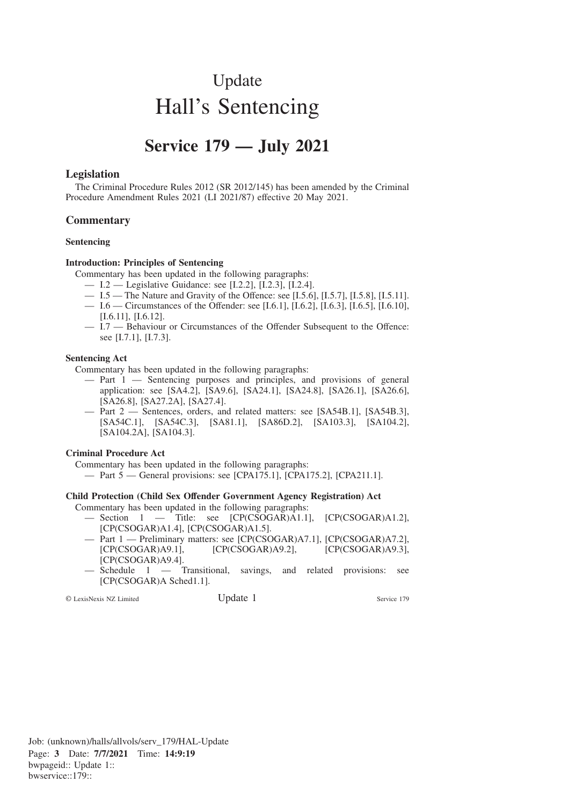# Update Hall's Sentencing

# **Service 179 — July 2021**

# **Legislation**

The Criminal Procedure Rules 2012 (SR 2012/145) has been amended by the Criminal Procedure Amendment Rules 2021 (LI 2021/87) effective 20 May 2021.

### **Commentary**

#### **Sentencing**

#### **Introduction: Principles of Sentencing**

Commentary has been updated in the following paragraphs:

- I.2 Legislative Guidance: see [I.2.2], [I.2.3], [I.2.4].
- I.5 The Nature and Gravity of the Offence: see [I.5.6], [I.5.7], [I.5.8], [I.5.11].
- I.6 Circumstances of the Offender: see [I.6.1], [I.6.2], [I.6.3], [I.6.5], [I.6.10], [I.6.11], [I.6.12].
- I.7 Behaviour or Circumstances of the Offender Subsequent to the Offence: see [I.7.1], [I.7.3].

#### **Sentencing Act**

Commentary has been updated in the following paragraphs:

- Part 1 Sentencing purposes and principles, and provisions of general application: see [SA4.2], [SA9.6], [SA24.1], [SA24.8], [SA26.1], [SA26.6], [SA26.8], [SA27.2A], [SA27.4].
- Part 2 Sentences, orders, and related matters: see [SA54B.1], [SA54B.3], [SA54C.1], [SA54C.3], [SA81.1], [SA86D.2], [SA103.3], [SA104.2], [SA104.2A], [SA104.3].

#### **Criminal Procedure Act**

Commentary has been updated in the following paragraphs:

— Part 5 — General provisions: see [CPA175.1], [CPA175.2], [CPA211.1].

#### **Child Protection (Child Sex Offender Government Agency Registration) Act**

Commentary has been updated in the following paragraphs:

- Section 1 Title: see [CP(CSOGAR)A1.1], [CP(CSOGAR)A1.2], [CP(CSOGAR)A1.4], [CP(CSOGAR)A1.5].
- Part 1 Preliminary matters: see [CP(CSOGAR)A7.1], [CP(CSOGAR)A7.2], [CP(CSOGAR)A9.1], [CP(CSOGAR)A9.2], [CP(CSOGAR)A9.3], [CP(CSOGAR)A9.4].
- Schedule 1 Transitional, savings, and related provisions: see [CP(CSOGAR)A Sched1.1].